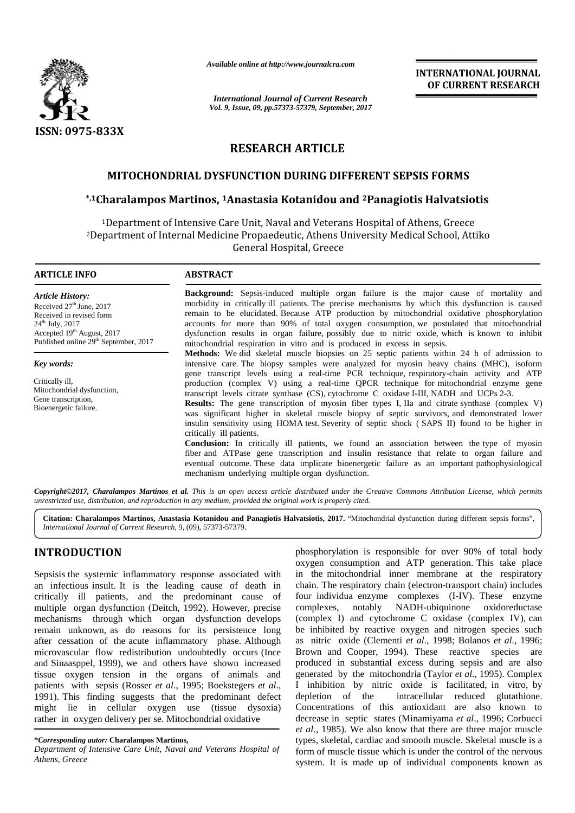

*Available online at http://www.journalcra.com*

*International Journal of Current Research Vol. 9, Issue, 09, pp.57373-57379, September, 2017* **INTERNATIONAL JOURNAL OF CURRENT RESEARCH**

# **RESEARCH ARTICLE**

## **MITOCHONDRIAL DYSFUNCTION DURING DIFFERENT SEPSIS FORMS**

## **\*,1Charalampos Martinos, <sup>1</sup>Anastasia Kotanidou and <sup>2</sup>Panagiotis Ηalvatsiotis Kotanidou and**

<sup>1</sup>Department of Intensive Care Unit, Naval and Veterans Hospital of Athens, Greece <sup>2</sup>Department of Internal Medicine Propaedeutic, Athens University Medical School, Attiko General Hospital, Greece

#### **ARTICLE INFO**

*Article History:* Received  $27<sup>th</sup>$  June, 2017 Received in revised form 24 th July, 2017 Accepted 19th August, 2017 Published online 29<sup>th</sup> September, 2017

*Key words:*

Critically ill, Mitochondrial dysfunction, Gene transcription Bioenergetic failure.

**Background:** Sepsis-induced multiple organ failure is the major cause of mortality and morbidity in critically ill patients. The precise mechanisms by which this dysfunction is caused remain to be elucidated. Because ATP production by mitochondrial oxidative phosphorylation **Background:** Sepsis-induced multiple organ failure is the major cause of mortality and morbidity in critically ill patients. The precise mechanisms by which this dysfunction is caused remain to be elucidated. Because ATP dysfunction results in organ failure, possibly due to nitric oxide, which is known to inhibit dysfunction results in organ failure, possibly due to nitric oxide, which mitochondrial respiration in vitro and is produced in excess in sepsis. une, 2017 morbidity in critically ill patients. The precise mechanisms by which this dysfunction is caused APP production by mitochondrial oxidative phosphorylat accounts for more than 90% of total oxygen consumption, we p

**Methods:** We did skeletal muscle biopsies on 25 septic patients within 24 h of admission to intensive care. The biopsy samples were analyzed for myosin heavy chains (MHC), isoform gene transcript levels using a real-time PCR technique, respiratory-chain activity and ATP production (complex V) using a real-time QPCR technique for mitochondrial enzyme gene transcript levels citrate synthase (CS), cytochrome C oxidase I-III, NADH and UCPs 2-3. **Methods:** We did skeletal muscle biopsies on 25 septic patients within 24 h of admission to intensive care. The biopsy samples were analyzed for myosin heavy chains (MHC), isoform gene transcript levels using a real-time

**Results:** The gene transcription of myosin fiber types I, IIa and citrate synthase (complex V) was significant higher in skeletal muscle biopsy of septic survivors, and demonstrated lower insulin sensitivity using HOMA test. Severity of septic shock ( SAPS II) found to be higher in critically ill patients. was significant higher in skeletal muscle biopsy of septic survivors, and demonstrated insulin sensitivity using HOMA test. Severity of septic shock ( SAPS II) found to be hig critically ill patients.

**Conclusion:** In critically ill patients, we found an association between the type of myosin fiber and ATPase gene transcription and insulin resistance that relate to organ failure and eventual outcome. These data implicate bioenergetic failure as an important pathophysiological mechanism underlying multiple organ dysfunction. **Conclusion:** In critically ill patients, we found an association between the fiber and ATPase gene transcription and insulin resistance that relate to eventual outcome. These data implicate bioenergetic failure as an impo

Copyright©2017, Charalampos Martinos et al. This is an open access article distributed under the Creative Commons Attribution License, which permits *unrestricted use, distribution, and reproduction in any medium, provided the original work is properly cited.* 

Citation: Charalampos Martinos, Anastasia Kotanidou and Panagiotis alvatsiotis, 2017. "Mitochondrial dysfunction during different sepsis forms", *International Journal of Current Research*, 9, (09), 57373-57379.

# **INTRODUCTION INTRODUCTION**

Sepsisis the systemic inflammatory response associated with in the an infectious insult. It is the leading cause of death in critically ill patients, and the predominant cause of multiple organ dysfunction (Deitch, 1992). However, precise mechanisms through which organ dysfunction develops remain unknown, as do reasons for its persistence long after cessation of the acute inflammatory phase. Although microvascular flow redistribution undoubtedly occurs (Ince and Sinaasppel, 1999), we and others have shown increased tissue oxygen tension in the organs of animals and patients with sepsis (Rosser *et al*., 1995; Boekstegers *et al*., 1991). This finding suggests that the predominant defect might lie in cellular oxygen use (tissue dysoxia) rather in oxygen delivery per se. Mitochondrial oxidative an infectious insult. It is the leading cause of death in chain<br>critically ill patients, and the predominant cause of four<br>multiple organ dysfunction (Deitch, 1992). However, precise comp<br>mechanisms through which organ dys microvascular flow redistribution undoubtedly occurs<br>and Sinaasppel, 1999), we and others have shown incr<br>tissue oxygen tension in the organs of animals<br>patients with sepsis (Rosser *et al.*, 1995; Boekstegers *e*<br>1991). T 1992). However, precise complexes, notably<br>
1 dysfunction develops (complex I) and cytor<br>
its persistence long be inhibited by react<br>
matory phase. Although as nitric oxide (Cler<br>
mdoubtedly occurs (Ince Brown and Cooper,

phosphorylation is responsible for over 90% of total body oxygen consumption and ATP generation. This take place in the mitochondrial inner membrane at the respiratory chain. The respiratory chain (electron-transport chain) includes four individua enzyme complexes (I-IV). These enzyme complexes, notably NADH-ubiquinone oxidoreductase (complex I) and cytochrome C oxidase (complex IV), can be inhibited by reactive oxygen and nitrogen species such as nitric oxide (Clementi *et al*., 1998; Bolanos *et al*., 1996; Brown and Cooper, 1994). These reactive species are produced in substantial excess during sepsis and are also generated by the mitochondria (Taylor *et al*., 1995). Complex I inhibition by nitric oxide is facilitated, in vitro, by intracellular reduced glutathione. Concentrations of this antioxidant are also known to decrease in septic states (Minamiyama *et al*., 1996; Corbucci *et al*., 1985). We also know that there are three major muscle types, skeletal, cardiac and smooth muscle. Skeletal muscle is a form of muscle tissue which is under the control of the nervous system. It is made up of individual components known as **EXAMELY AND STRAIGH SECTION IN A SECTION CONSUMPTION CONSUMPTION CONSUMERATION CONSUMERATION CONSUMERATION CONSUMERATION CONSUMERATION CONSUMERATION CONSUMERATION CONSUMERATION CONSUMERATION CONSUMERATION CONSUMERATION C** 

**<sup>\*</sup>***Corresponding autor:* **Charalampos Martinos, \****Corresponding* 

**Department of Intensive Care Unit, Naval and Veterans Hospital of** *Athens, Greece*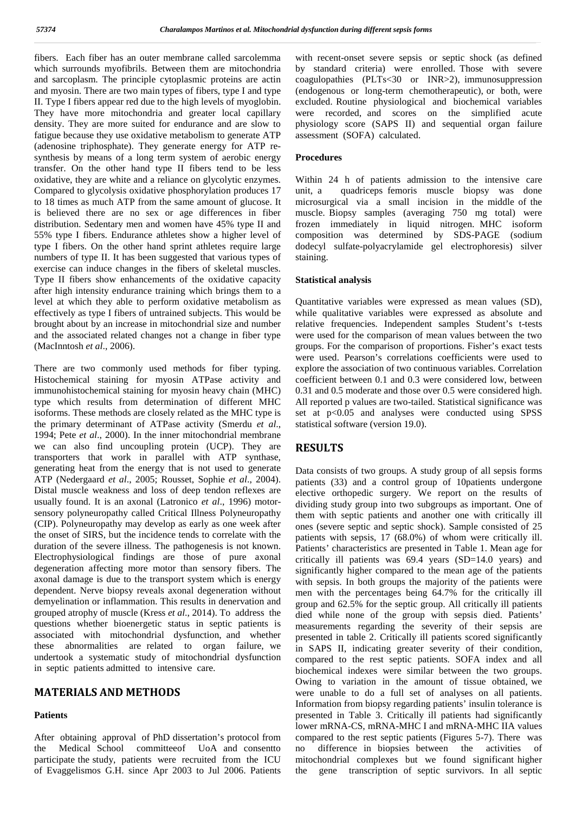fibers. Each fiber has an outer membrane called sarcolemma which surrounds myofibrils. Between them are mitochondria and sarcoplasm. The principle cytoplasmic proteins are actin and myosin. There are two main types of fibers, type I and type II. Type I fibers appear red due to the high levels of myoglobin. They have more mitochondria and greater local capillary density. They are more suited for endurance and are slow to fatigue because they use oxidative metabolism to generate ATP (adenosine triphosphate). They generate energy for ATP re synthesis by means of a long term system of aerobic energy transfer. On the other hand type II fibers tend to be less oxidative, they are white and a reliance on glycolytic enzymes. Compared to glycolysis oxidative phosphorylation produces 17 unit, a to 18 times as much ATP from the same amount of glucose. It is believed there are no sex or age differences in fiber distribution. Sedentary men and women have 45% type II and 55% type I fibers. Endurance athletes show a higher level of type I fibers. On the other hand sprint athletes require large numbers of type II. It has been suggested that various types of exercise can induce changes in the fibers of skeletal muscles. Type II fibers show enhancements of the oxidative capacity after high intensity endurance training which brings them to a level at which they able to perform oxidative metabolism as effectively as type I fibers of untrained subjects. This would be brought about by an increase in mitochondrial size and number and the associated related changes not a change in fiber type (MacInntosh *et al*., 2006).

There are two commonly used methods for fiber typing. Histochemical staining for myosin ATPase activity and immunohistochemical staining for myosin heavy chain (MHC) type which results from determination of different MHC isoforms. These methods are closely related as the MHC type is the primary determinant of ATPase activity (Smerdu *et al*., 1994; Pete *et al*., 2000). In the inner mitochondrial membrane we can also find uncoupling protein (UCP). They are transporters that work in parallel with ATP synthase, generating heat from the energy that is not used to generate ATP (Nedergaard *et al*., 2005; Rousset, Sophie *et al*., 2004). Distal muscle weakness and loss of deep tendon reflexes are usually found. It is an axonal (Latronico *et al*., 1996) motor sensory polyneuropathy called Critical Illness Polyneuropathy (CIP). Polyneuropathy may develop as early as one week after the onset of SIRS, but the incidence tends to correlate with the duration of the severe illness. he pathogenesis is not known. Electrophysiological findings are those of pure axonal degeneration affecting more motor than sensory fibers. The axonal damage is due to the transport system which is energy dependent. Nerve biopsy reveals axonal degeneration without demyelination or inflammation. This results in denervation and grouped atrophy of muscle (Kress *et al*., 2014). To address the questions whether bioenergetic status in septic patients is associated with mitochondrial dysfunction, and whether these abnormalities are related to organ failure, we undertook a systematic study of mitochondrial dysfunction in septic patients admitted to intensive care.

### **MATERIALS AND METHODS**

#### **Patients**

After obtaining approval of PhD dissertation's protocol from the Medical School committeeof UoA and consentto participate the study, patients were recruited from the ICU of Evaggelismos G.H. since Apr 2003 to Jul 2006. Patients

with recent-onset severe sepsis or septic shock (as defined by standard criteria) were enrolled. Those with severe coagulopathies (PLTs<30 or INR>2), immunosuppression (endogenous or long-term chemotherapeutic), or both, were excluded. Routine physiological and biochemical variables were recorded, and scores on the simplified acute physiology score (SAPS II) and sequential organ failure assessment (SOFA) calculated.

#### **Procedures**

Within 24 h of patients admission to the intensive care quadriceps femoris muscle biopsy was done microsurgical via a small incision in the middle of the muscle. Biopsy samples (averaging 750 mg total) were frozen immediately in liquid nitrogen. MHC isoform composition was determined by SDS-PAGE (sodium dodecyl sulfate-polyacrylamide gel electrophoresis) silver staining.

#### **Statistical analysis**

Quantitative variables were expressed as mean values (SD), while qualitative variables were expressed as absolute and relative frequencies. Independent samples Student's t-tests were used for the comparison of mean values between the two groups. For the comparison of proportions. Fisher's exact tests were used. Pearson's correlations coefficients were used to explore the association of two continuous variables. Correlation coefficient between 0.1 and 0.3 were considered low, between 0.31 and 0.5 moderate and those over 0.5 were considered high. All reported p values are two-tailed. Statistical significance was set at p<0.05 and analyses were conducted using SPSS statistical software (version 19.0).

## **RESULTS**

Data consists of two groups. A study group of all sepsis forms patients (33) and a control group of 10patients undergone elective orthopedic surgery. We report on the results of dividing study group into two subgroups as important. One of them with septic patients and another one with critically ill ones (severe septic and septic shock). Sample consisted of 25 patients with sepsis, 17 (68.0%) of whom were critically ill. Patients' characteristics are presented in Table 1. Mean age for critically ill patients was 69.4 years (SD=14.0 years) and significantly higher compared to the mean age of the patients with sepsis. In both groups the majority of the patients were men with the percentages being 64.7% for the critically ill group and 62.5% for the septic group. All critically ill patients died while none of the group with sepsis died. Patients' measurements regarding the severity of their sepsis are presented in table 2. Critically ill patients scored significantly in SAPS II, indicating greater severity of their condition, compared to the rest septic patients. SOFA index and all biochemical indexes were similar between the two groups. Owing to variation in the amount of tissue obtained, we were unable to do a full set of analyses on all patients. Information from biopsy regarding patients' insulin tolerance is presented in Table 3. Critically ill patients had significantly lower mRNA-CS, mRNA-MHC I and mRNA-MHC IIA values compared to the rest septic patients (Figures 5-7). here was difference in biopsies between the activities of mitochondrial complexes but we found significant higher the gene transcription of septic survivors. In all septic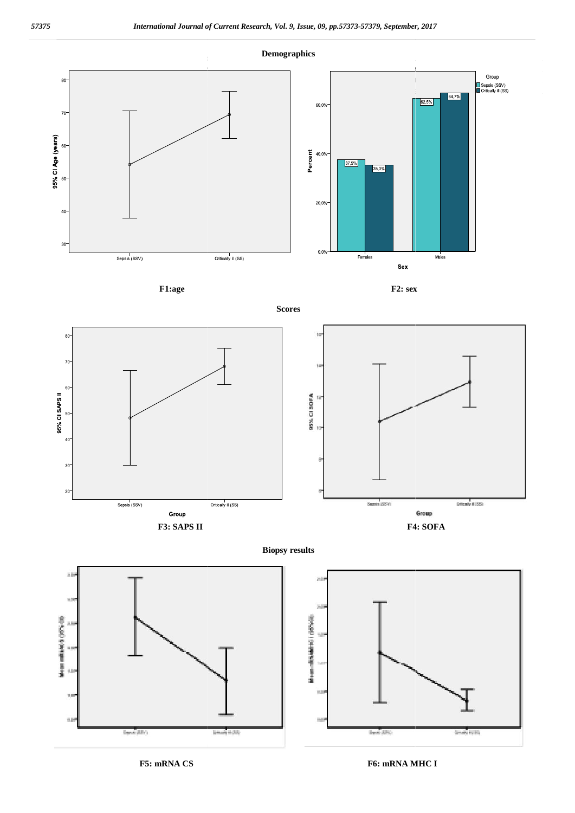

**F1:age F2: sex**





**Biopsy results**





**F5: mRNA CS F6: mRNA MHC I**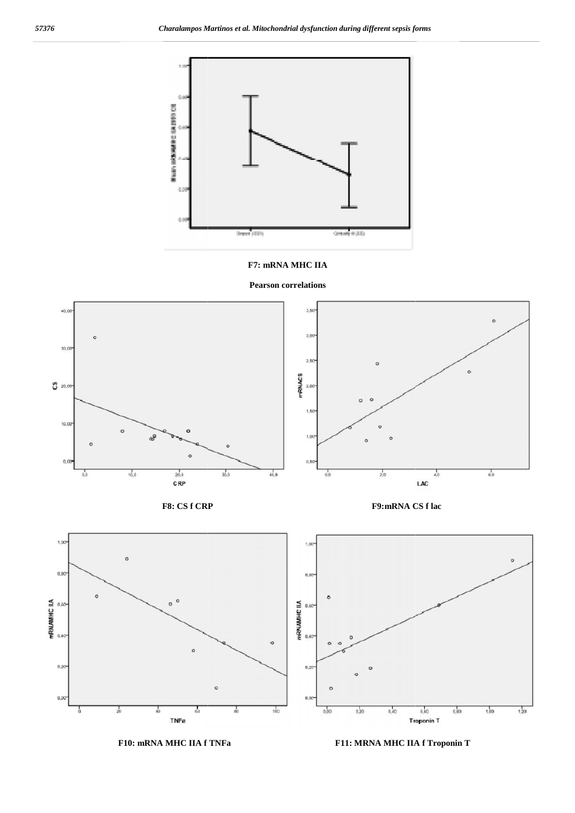

#### **F7: mRNA MHC IIA**







**F8: CS f CRP F9:mRNA CS f lac**





**F10: mRNA MHC IIA f TNFa F11: MRNA MHC IIA f Troponin T**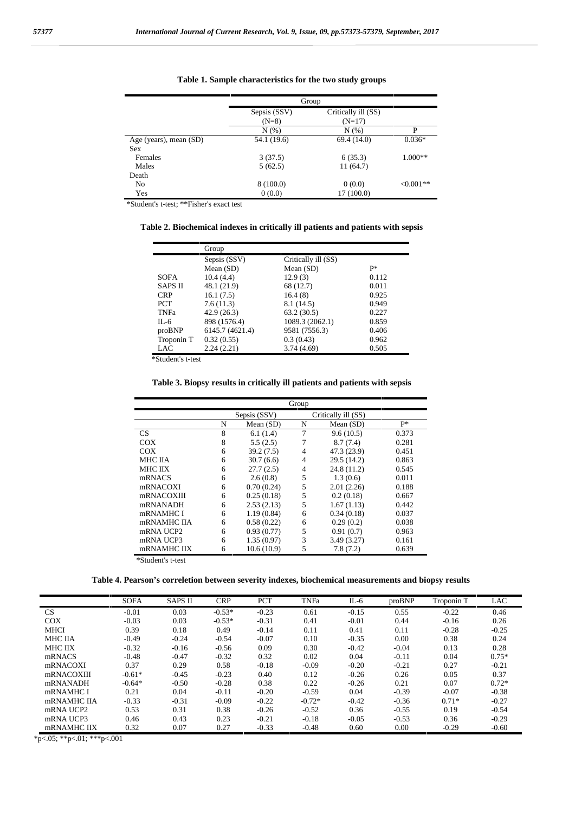|                        | Group        |                     |             |
|------------------------|--------------|---------------------|-------------|
|                        | Sepsis (SSV) | Critically ill (SS) |             |
|                        | $(N=8)$      | $(N=17)$            |             |
|                        | N(% )        | N(% )               | P           |
| Age (years), mean (SD) | 54.1 (19.6)  | 69.4 (14.0)         | $0.036*$    |
| <b>Sex</b>             |              |                     |             |
| Females                | 3(37.5)      | 6(35.3)             | $1.000**$   |
| Males                  | 5(62.5)      | 11(64.7)            |             |
| Death                  |              |                     |             |
| N <sub>0</sub>         | 8(100.0)     | 0(0.0)              | $<,0.001**$ |
| Yes                    | 0(0.0)       | 17(100.0)           |             |

**Table 1. Sample characteristics for the two study groups**

\*Student's t-test; \*\*Fisher's exact test

**Table 2. Biochemical indexes in critically ill patients and patients with sepsis**

|                | Group           |                     |       |
|----------------|-----------------|---------------------|-------|
|                | Sepsis (SSV)    | Critically ill (SS) |       |
|                | Mean $(SD)$     | Mean $(SD)$         | $P*$  |
| <b>SOFA</b>    | 10.4(4.4)       | 12.9(3)             | 0.112 |
| <b>SAPS II</b> | 48.1 (21.9)     | 68 (12.7)           | 0.011 |
| <b>CRP</b>     | 16.1(7.5)       | 16.4(8)             | 0.925 |
| <b>PCT</b>     | 7.6(11.3)       | 8.1 (14.5)          | 0.949 |
| TNFa           | 42.9(26.3)      | 63.2(30.5)          | 0.227 |
| $II - 6$       | 898 (1576.4)    | 1089.3 (2062.1)     | 0.859 |
| proBNP         | 6145.7 (4621.4) | 9581 (7556.3)       | 0.406 |
| Troponin T     | 0.32(0.55)      | 0.3(0.43)           | 0.962 |
| LAC            | 2.24(2.21)      | 3.74(4.69)          | 0.505 |

\*Student's t-test

**Table 3. Biopsy results in critically ill patients and patients with sepsis**

|             |              | Group      |   |                     |       |
|-------------|--------------|------------|---|---------------------|-------|
|             | Sepsis (SSV) |            |   | Critically ill (SS) |       |
|             | N            | Mean (SD)  | N | Mean (SD)           | $P*$  |
| <b>CS</b>   | 8            | 6.1(1.4)   | 7 | 9.6(10.5)           | 0.373 |
| COX         | 8            | 5.5(2.5)   | 7 | 8.7(7.4)            | 0.281 |
| COX         | 6            | 39.2(7.5)  | 4 | 47.3 (23.9)         | 0.451 |
| MHC IIA     | 6            | 30.7(6.6)  | 4 | 29.5 (14.2)         | 0.863 |
| MHC IIX     | 6            | 27.7(2.5)  | 4 | 24.8 (11.2)         | 0.545 |
| mRNACS      | 6            | 2.6(0.8)   | 5 | 1.3(0.6)            | 0.011 |
| mRNACOXI    | 6            | 0.70(0.24) | 5 | 2.01(2.26)          | 0.188 |
| mRNACOXIII  | 6            | 0.25(0.18) | 5 | 0.2(0.18)           | 0.667 |
| mRNANADH    | 6            | 2.53(2.13) | 5 | 1.67(1.13)          | 0.442 |
| mRNAMHC I   | 6            | 1.19(0.84) | 6 | 0.34(0.18)          | 0.037 |
| mRNAMHC IIA | 6            | 0.58(0.22) | 6 | 0.29(0.2)           | 0.038 |
| mRNA UCP2   | 6            | 0.93(0.77) | 5 | 0.91(0.7)           | 0.963 |
| mRNA UCP3   | 6            | 1.35(0.97) | 3 | 3.49(3.27)          | 0.161 |
| mRNAMHC IIX | 6            | 10.6(10.9) | 5 | 7.8(7.2)            | 0.639 |

\*Student's t-test

**Table 4. Pearson's correletion between severity indexes, biochemical measurements and biopsy results**

|                | <b>SOFA</b> | <b>SAPS II</b> | <b>CRP</b> | <b>PCT</b> | <b>TNFa</b> | $IL-6$  | proBNP  | Troponin T | LAC     |
|----------------|-------------|----------------|------------|------------|-------------|---------|---------|------------|---------|
| CS             | $-0.01$     | 0.03           | $-0.53*$   | $-0.23$    | 0.61        | $-0.15$ | 0.55    | $-0.22$    | 0.46    |
| <b>COX</b>     | $-0.03$     | 0.03           | $-0.53*$   | $-0.31$    | 0.41        | $-0.01$ | 0.44    | $-0.16$    | 0.26    |
| <b>MHCI</b>    | 0.39        | 0.18           | 0.49       | $-0.14$    | 0.11        | 0.41    | 0.11    | $-0.28$    | $-0.25$ |
| <b>MHC IIA</b> | $-0.49$     | $-0.24$        | $-0.54$    | $-0.07$    | 0.10        | $-0.35$ | 0.00    | 0.38       | 0.24    |
| <b>MHC IIX</b> | $-0.32$     | $-0.16$        | $-0.56$    | 0.09       | 0.30        | $-0.42$ | $-0.04$ | 0.13       | 0.28    |
| mRNACS         | $-0.48$     | $-0.47$        | $-0.32$    | 0.32       | 0.02        | 0.04    | $-0.11$ | 0.04       | $0.75*$ |
| mRNACOXI       | 0.37        | 0.29           | 0.58       | $-0.18$    | $-0.09$     | $-0.20$ | $-0.21$ | 0.27       | $-0.21$ |
| mRNACOXIII     | $-0.61*$    | $-0.45$        | $-0.23$    | 0.40       | 0.12        | $-0.26$ | 0.26    | 0.05       | 0.37    |
| mRNANADH       | $-0.64*$    | $-0.50$        | $-0.28$    | 0.38       | 0.22        | $-0.26$ | 0.21    | 0.07       | $0.72*$ |
| mRNAMHC I      | 0.21        | 0.04           | $-0.11$    | $-0.20$    | $-0.59$     | 0.04    | $-0.39$ | $-0.07$    | $-0.38$ |
| mRNAMHC IIA    | $-0.33$     | $-0.31$        | $-0.09$    | $-0.22$    | $-0.72*$    | $-0.42$ | $-0.36$ | $0.71*$    | $-0.27$ |
| mRNA UCP2      | 0.53        | 0.31           | 0.38       | $-0.26$    | $-0.52$     | 0.36    | $-0.55$ | 0.19       | $-0.54$ |
| mRNA UCP3      | 0.46        | 0.43           | 0.23       | $-0.21$    | $-0.18$     | $-0.05$ | $-0.53$ | 0.36       | $-0.29$ |
| mRNAMHC IIX    | 0.32        | 0.07           | 0.27       | $-0.33$    | $-0.48$     | 0.60    | 0.00    | $-0.29$    | $-0.60$ |

\*p<.05; \*\*p<.01; \*\*\*p<.001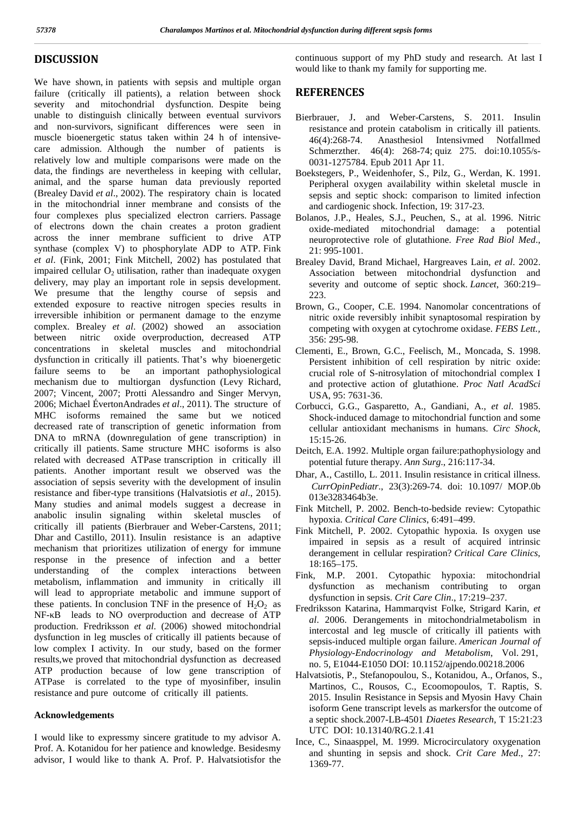### **DISCUSSION**

We have shown, in patients with sepsis and multiple organ failure (critically ill patients), a relation between shock severity and mitochondrial dysfunction. Despite being unable to distinguish clinically between eventual survivors and non-survivors, significant differences were seen in muscle bioenergetic status taken within 24 h of intensive care admission. Although the number of patients is relatively low and multiple comparisons were made on the data, the findings are nevertheless in keeping with cellular, animal, and the sparse human data previously reported (Brealey David *et al*., 2002). The respiratory chain is located in the mitochondrial inner membrane and consists of the four complexes plus specialized electron carriers. Passage of electrons down the chain creates a proton gradient across the inner membrane sufficient to drive ATP synthase (complex V) to phosphorylate ADP to ATP. Fink *et al*. (Fink, 2001; Fink Mitchell, 2002) has postulated that impaired cellular  $O<sub>2</sub>$  utilisation, rather than inadequate oxygen delivery, may play an important role in sepsis development. We presume that the lengthy course of sepsis and extended exposure to reactive nitrogen species results in irreversible inhibition or permanent damage to the enzyme complex. Brealey *et al*. (2002) showed an association between nitric oxide overproduction, decreased ATP concentrations in skeletal muscles and mitochondrial dysfunction in critically ill patients. That's why bioenergetic failure seems to be an important pathophysiological mechanism due to multiorgan dysfunction (Levy Richard, 2007; Vincent, 2007; Protti Alessandro and Singer Mervyn, 2006; Michael ÉvertonAndrades *et al*., 2011). The structure of MHC isoforms remained the same but we noticed decreased rate of transcription of genetic information from DNA to mRNA (downregulation of gene transcription) in critically ill patients. Same structure MHC isoforms is also related with decreased ATPase transcription in critically ill patients. Another important result we observed was the association of sepsis severity with the development of insulin resistance and fiber-type transitions (Halvatsiotis *et al*., 2015). Many studies and animal models suggest a decrease in anabolic insulin signaling within skeletal muscles of critically ill patients (Bierbrauer and Weber-Carstens, 2011; Dhar and Castillo, 2011). Insulin resistance is an adaptive mechanism that prioritizes utilization of energy for immune response in the presence of infection and a better understanding of the complex interactions between metabolism, inflammation and immunity in critically ill will lead to appropriate metabolic and immune support of these patients. n conclusion TNF in the presence of  $H_2O_2$  as NF- leads to NO overproduction and decrease of ATP production. Fredriksson *et al*. (2006) showed mitochondrial dysfunction in leg muscles of critically ill patients because of low complex I activity. In our study, based on the former results,we proved that mitochondrial dysfunction as decreased ATP production because of low gene transcription of ATPase is correlated to the type of myosinfiber, insulin resistance and pure outcome of critically ill patients.

#### **Acknowledgements**

I would like to expressmy sincere gratitude to my advisor A. Prof. A. Kotanidou for her patience and knowledge. Besidesmy advisor, I would like to thank A. Prof. P. Halvatsiotisfor the continuous support of my PhD study and research. At last I would like to thank my family for supporting me.

## **REFERENCES**

- Bierbrauer, J. and Weber-Carstens, S. 2011. Insulin resistance and protein catabolism in critically ill patients. 46(4):268-74. Anasthesiol Intensivmed Notfallmed Schmerzther. 46(4): 268-74; quiz 275. doi:10.1055/s- 0031-1275784. Epub 2011 Apr 11.
- Boekstegers, P., Weidenhofer, S., Pilz, G., Werdan, K. 1991. Peripheral oxygen availability within skeletal muscle in sepsis and septic shock: comparison to limited infection and cardiogenic shock. Infection, 19: 317-23.
- Bolanos, J.P., Heales, S.J., Peuchen, S., at al. 1996. Nitric oxide-mediated mitochondrial damage: a potential neuroprotective role of glutathione. *Free Rad Biol Med*., 21: 995-1001.
- Brealey David, Brand Michael, Hargreaves Lain, *et al*. 2002. Association between mitochondrial dysfunction and severity and outcome of septic shock. *Lancet*, 360:219– 223.
- Brown, G., Cooper, C.E. 1994. Nanomolar concentrations of nitric oxide reversibly inhibit synaptosomal respiration by competing with oxygen at cytochrome oxidase. *FEBS Lett.,* 356: 295-98.
- Clementi, E., Brown, G.C., Feelisch, M., Moncada, S. 1998. Persistent inhibition of cell respiration by nitric oxide: crucial role of S-nitrosylation of mitochondrial complex I and protective action of glutathione. *Proc Natl AcadSci* USA, 95: 7631-36.
- Corbucci, G.G., Gasparetto, A., Gandiani, A., *et al*. 1985. Shock-induced damage to mitochondrial function and some cellular antioxidant mechanisms in humans. *Circ Shock*, 15:15-26.
- Deitch, E.A. 1992. Multiple organ failure:pathophysiology and potential future therapy. *Ann Surg*., 216:117-34.
- Dhar, A., Castillo, L. 2011. Insulin resistance in critical illness. *CurrOpinPediatr*., 23(3):269-74. doi: 10.1097/ MOP.0b 013e3283464b3e.
- Fink Mitchell, P. 2002. Bench-to-bedside review: Cytopathic hypoxia. *Critical Care Clinics*, 6:491–499.
- Fink Mitchell, P. 2002. Cytopathic hypoxia. Is oxygen use impaired in sepsis as a result of acquired intrinsic derangement in cellular respiration? *Critical Care Clinics*, 18:165–175.
- Fink, M.P. 2001. Cytopathic hypoxia: mitochondrial dysfunction as mechanism contributing to organ dysfunction in sepsis. *Crit Care Clin*., 17:219–237.
- Fredriksson Katarina, Hammarqvist Folke, Strigard Karin, *et al*. 2006. Derangements in mitochondrialmetabolism in intercostal and leg muscle of critically ill patients with sepsis-induced multiple organ failure. *American Journal of Physiology-Endocrinology and Metabolism*, Vol. 291, no. 5, E1044-E1050 DOI: 10.1152/ajpendo.00218.2006
- Halvatsiotis, P., Stefanopoulou, S., Kotanidou, A., Orfanos, S., Martinos, C., Rousos, C., Ecoomopoulos, T. Raptis, S. 2015. Insulin Resistance in Sepsis and Myosin Havy Chain isoform Gene transcript levels as markersfor the outcome of a septic shock.2007-LB-4501 *Diaetes Research*, T 15:21:23 UTC DOI: 10.13140/RG.2.1.41
- Ince, C., Sinaasppel, M. 1999. Microcirculatory oxygenation and shunting in sepsis and shock. *Crit Care Med*., 27: 1369-77.